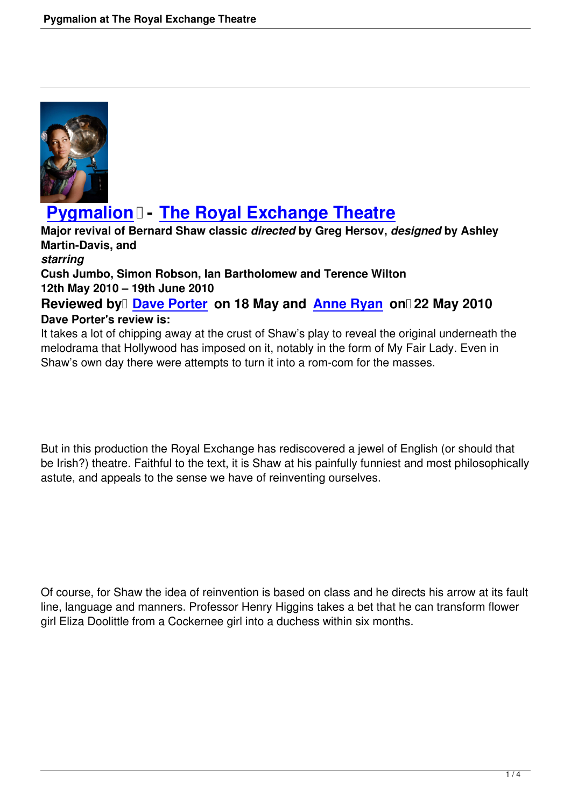

## **Pygmalion - The Royal Exchange Theatre**

**Major revival of Bernard Shaw classic** *directed* **by Greg Hersov,** *designed* **by Ashley Martin-Davis, and**  *[starring](pygmalion-royal-exchange-theatre-may-2010.html)* **Cush Jumbo, Simon [Robson, Ian Bartholomew and Terence Wilto](http://www.royalexchange.co.uk)n 12th May 2010 – 19th June 2010 Reviewed by Dave Porter on 18 May and Anne Ryan on 22 May 2010 Dave Porter's review is:** It takes a lot of chipping away at the crust of Shaw's play to reveal the original underneath the melodrama that H[ollywood has im](writers.html#dave-porter)posed on it, notabl[y in the form of](writers.html#anne-ryan) My Fair Lady. Even in

Shaw's own day there were attempts to turn it into a rom-com for the masses.

But in this production the Royal Exchange has rediscovered a jewel of English (or should that be Irish?) theatre. Faithful to the text, it is Shaw at his painfully funniest and most philosophically astute, and appeals to the sense we have of reinventing ourselves.

Of course, for Shaw the idea of reinvention is based on class and he directs his arrow at its fault line, language and manners. Professor Henry Higgins takes a bet that he can transform flower girl Eliza Doolittle from a Cockernee girl into a duchess within six months.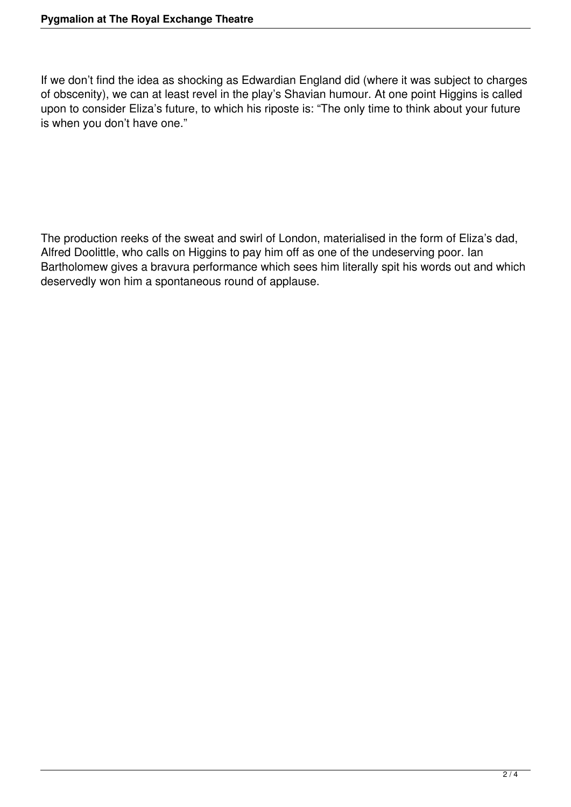If we don't find the idea as shocking as Edwardian England did (where it was subject to charges of obscenity), we can at least revel in the play's Shavian humour. At one point Higgins is called upon to consider Eliza's future, to which his riposte is: "The only time to think about your future is when you don't have one."

The production reeks of the sweat and swirl of London, materialised in the form of Eliza's dad, Alfred Doolittle, who calls on Higgins to pay him off as one of the undeserving poor. Ian Bartholomew gives a bravura performance which sees him literally spit his words out and which deservedly won him a spontaneous round of applause.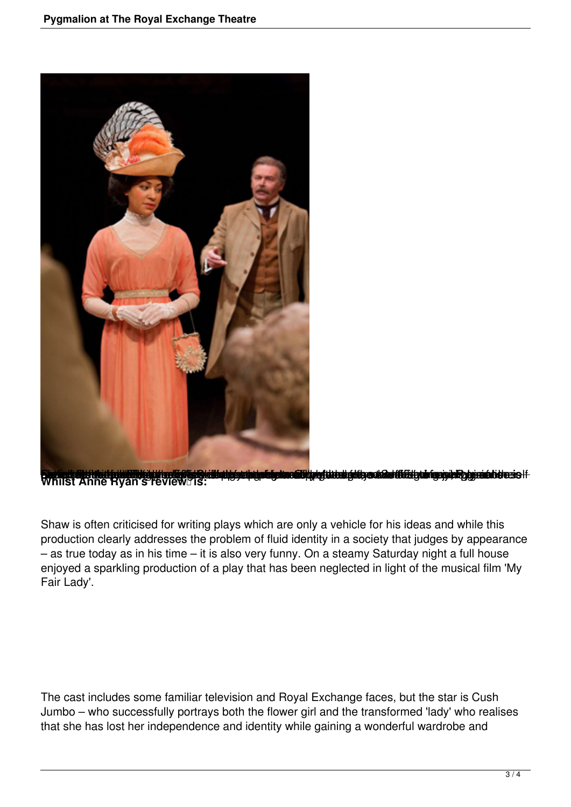

**Barbar allst han middlein kan byggeleider de start geleg an dit greisten gelegen Martifizier Gegeleide Behreichte**<br>Whilst Anne Ryan's reviewuis:

Shaw is often criticised for writing plays which are only a vehicle for his ideas and while this production clearly addresses the problem of fluid identity in a society that judges by appearance – as true today as in his time – it is also very funny. On a steamy Saturday night a full house enjoyed a sparkling production of a play that has been neglected in light of the musical film 'My Fair Lady'.

The cast includes some familiar television and Royal Exchange faces, but the star is Cush Jumbo – who successfully portrays both the flower girl and the transformed 'lady' who realises that she has lost her independence and identity while gaining a wonderful wardrobe and